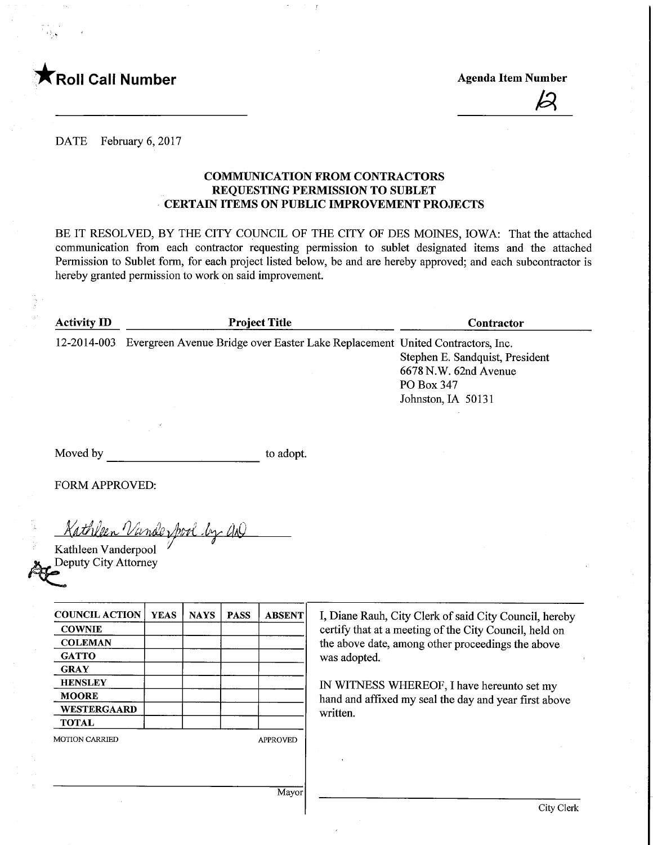

 $\overline{\mathcal{Z}}$ 

DATE February 6, 2017

## COMMUNICATION FROM CONTRACTORS REQUESTING PERMISSION TO SUBLET CERTAIN ITEMS ON PUBLIC IMPROVEMENT PROJECTS

BE IT RESOLVED, BY THE CITY COUNCIL OF THE CITY OF DES MOINES, IOWA: That the attached communication from each contractor requesting permission to sublet designated items and the attached Permission to Sublet form, for each project listed below, be and are hereby approved; and each subcontractor is hereby granted permission to work on said improvement.

| <b>Activity ID</b> | <b>Project Title</b>                                                          | Contractor                      |
|--------------------|-------------------------------------------------------------------------------|---------------------------------|
| 12-2014-003        | Evergreen Avenue Bridge over Easter Lake Replacement United Contractors, Inc. |                                 |
|                    |                                                                               | Stephen E. Sandquist, President |
|                    |                                                                               | 6678 N.W. 62nd Avenue           |
|                    |                                                                               | PO Box 347                      |
|                    |                                                                               | Johnston, IA 50131              |
|                    |                                                                               |                                 |

Moved by to adopt.

FORM APPROVED:

Kathleen Vande Spool by AQ

Kathleen Vanderpool Deputy City Attorney

| <b>COUNCIL ACTION</b> | <b>YEAS</b> | <b>NAYS</b> | <b>PASS</b> | <b>ABSENT</b>   |
|-----------------------|-------------|-------------|-------------|-----------------|
| <b>COWNIE</b>         |             |             |             |                 |
| <b>COLEMAN</b>        |             |             |             |                 |
| <b>GATTO</b>          |             |             |             |                 |
| <b>GRAY</b>           |             |             |             |                 |
| <b>HENSLEY</b>        |             |             |             |                 |
| <b>MOORE</b>          |             |             |             |                 |
| WESTERGAARD           |             |             |             |                 |
| <b>TOTAL</b>          |             |             |             |                 |
| <b>MOTION CARRIED</b> |             |             |             | <b>APPROVED</b> |

I, Diane Rauh, City Clerk of said City Council, hereby certify that at a meeting of the City Council, held on the above date, among other proceedings the above was adopted.

IN WITNESS WHEREOF, I have hereunto set my hand and affixed my seal the day and year first above written.

Mayor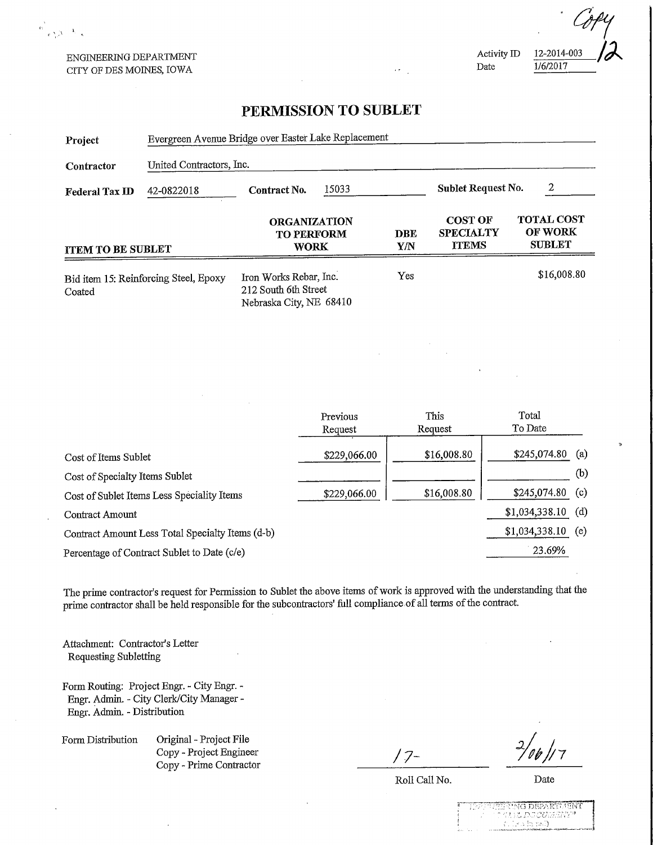ENGINEERING DEPARTMENT CITY OF DES MOINES, IOWA

 $\frac{\delta}{\delta} \sum_{\mathbf{r} \in \mathcal{N}_\mathrm{p}(\mathcal{N})} \mathcal{N}_{\mathbf{r} \in \mathbf{R}}$ 

Activity ID 12-2014-003<br>Date 1/6/2017 1/6/2017

## PERMISSION TO SUBLET

| Project                        | Evergreen Avenue Bridge over Easter Lake Replacement |                                                                           |                     |                   |                                                    |                                               |     |  |
|--------------------------------|------------------------------------------------------|---------------------------------------------------------------------------|---------------------|-------------------|----------------------------------------------------|-----------------------------------------------|-----|--|
| Contractor                     | United Contractors, Inc.                             |                                                                           |                     |                   |                                                    |                                               |     |  |
| <b>Federal Tax ID</b>          | 42-0822018                                           | Contract No.                                                              | 15033               |                   | Sublet Request No.                                 | 2                                             |     |  |
| <b>ITEM TO BE SUBLET</b>       |                                                      | <b>ORGANIZATION</b><br><b>TO PERFORM</b><br><b>WORK</b>                   |                     | <b>DBE</b><br>Y/N | <b>COST OF</b><br><b>SPECIALTY</b><br><b>ITEMS</b> | <b>TOTAL COST</b><br>OF WORK<br><b>SUBLET</b> |     |  |
| Coated                         | Bid item 15: Reinforcing Steel, Epoxy                | Iron Works Rebar, Inc.<br>212 South 6th Street<br>Nebraska City, NE 68410 |                     | Yes               |                                                    | \$16,008.80                                   |     |  |
|                                |                                                      |                                                                           |                     |                   |                                                    |                                               |     |  |
|                                |                                                      |                                                                           | Previous<br>Request |                   | This<br>Request                                    | Total<br>To Date                              |     |  |
| Cost of Items Sublet           |                                                      |                                                                           | \$229,066.00        |                   | \$16,008.80                                        | \$245,074.80                                  | (a) |  |
| Cost of Specialty Items Sublet |                                                      |                                                                           |                     |                   |                                                    |                                               | (b) |  |
|                                | Cost of Sublet Items Less Speciality Items           |                                                                           | \$229,066.00        |                   | \$16,008.80                                        | \$245,074.80                                  | (c) |  |
| Contract Amount                |                                                      |                                                                           |                     |                   |                                                    | \$1,034,338.10                                | (d) |  |
|                                | Contract Amount Less Total Specialty Items (d-b)     |                                                                           |                     |                   |                                                    | \$1,034,338.10                                | (e) |  |
|                                | Percentage of Contract Sublet to Date (c/e)          |                                                                           |                     |                   |                                                    | 23.69%                                        |     |  |

The prime contractor's request for Permission to Sublet the above items of work is approved with the understanding that the prime contractor shall be held responsible for the subcontractors' full compliance of all terms of the contract.

Attachment: Contractor's Letter Requesting Subletting

Form Routing: Project Engr. - City Engr. - Engr. Admin. - City Clerk/City Manager - Engr. Admin. - Distribution

Form Distribution Original - Project File Copy - Project Engineer Copy - Project Engineer<br>
Copy - Prime Contractor

 $\gamma$  /

Roll Call No.

Date

TG DEFARTAENT<br>L'OSSALISME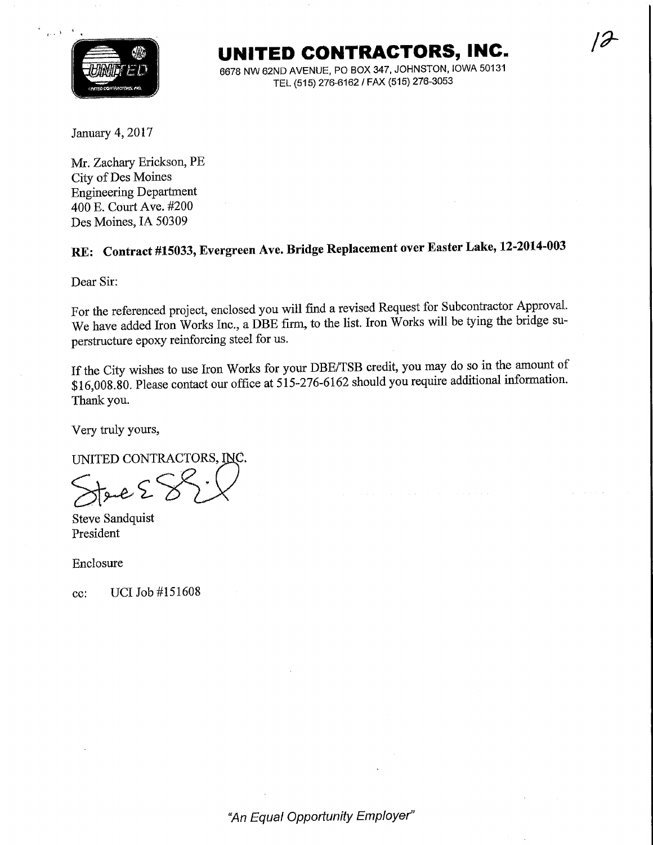

UNITED CONTRACTORS, INC-

 $\partial$ 

6678 NW 62ND AVENUE, PO BOX 347, JOHNSTON, IOWA 50131 TEL (515) 276-6162 / FAX (515) 276-3053

January 4,2017

Mr. Zachary Erickson, PE City of Des Moines Engineering Department 400 E. Court Ave. #200 Des Moines, IA 50309

## RE: Contract #15033, Evergreen Ave. Bridge Replacement over Easter Lake, 12-2014-003

Dear Sir:

For the referenced project, enclosed you will find a revised Request for Subcontractor Approval. We have added Iron Works Inc., a DBE firm, to the list. Iron Works will be tying the bridge superstructure epoxy reinforcing steel for us.

If the City wishes to use Iron Works for your DBE/TSB credit, you may do so in the amount of \$16,008.80. Please contact our office at 515-276-6162 should you require additional information. Thank you.

Very truly yours,

UNITED CONTRACTORS, INC.<br>Steve Sandouist

Steve Sandquist President

Enclosure

ec: UCI Job #151608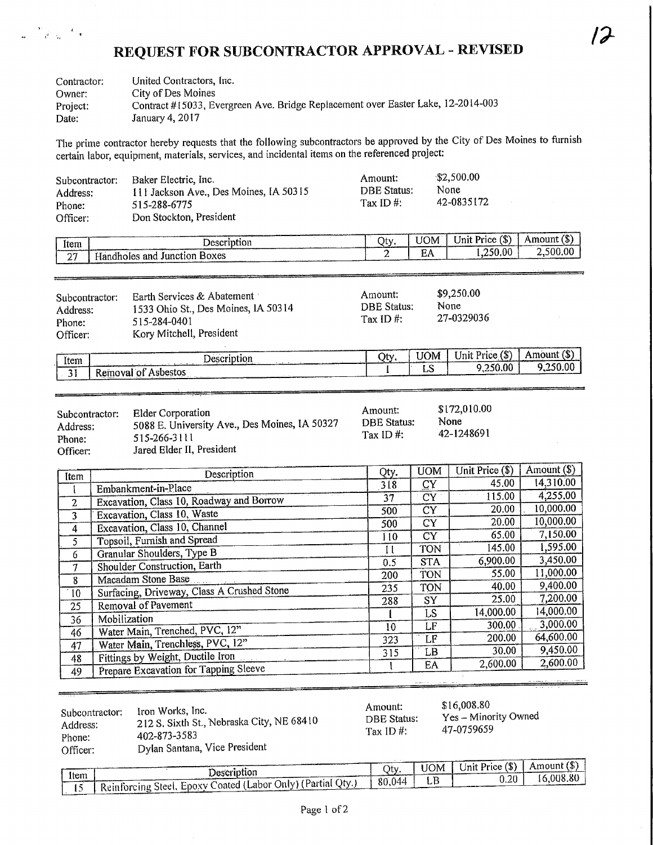## REQUEST FOR SUBCONTRACTOR APPROVAL - REVISED

 $\overline{r}$ 

 $\sim$ 

| Contractor:<br>Owner: | United Contractors, Inc.<br>City of Des Moines                                   |
|-----------------------|----------------------------------------------------------------------------------|
| Project:              | Contract #15033, Evergreen Ave. Bridge Replacement over Easter Lake, 12-2014-003 |
| Date:                 | January 4, 2017                                                                  |

 $\begin{array}{ccccc} &\mathbf{v}_1 & &\mathbf{u}_2 \\ & &\mathbf{v}_2 & &\mathbf{v}_3 \\ \mathbf{w}_1 & &\mathbf{v}_1^2 & &\mathbf{v}_2 & \mathbf{v}_3 \end{array}$ 

The prime contractor hereby requests that the following subcontractors be approved by the City of Des Moines to furnish certain labor, equipment, materials, services, and incidental items on the referenced project:

| Subcontractor:<br>Address:<br>Phone:<br>Officer: | Baker Electric, Inc.<br>111 Jackson Ave., Des Moines, IA 50315<br>515-288-6775<br>Don Stockton, President | Amount:<br><b>DBE Status:</b><br>Tax ID $#$ : |                  | \$2,500.00<br>None<br>42-0835172 |               |
|--------------------------------------------------|-----------------------------------------------------------------------------------------------------------|-----------------------------------------------|------------------|----------------------------------|---------------|
| Item                                             | Description                                                                                               | Qty.                                          | UOM <sup>1</sup> | Unit Price (\$)                  | Amount $(\$)$ |
| $\overline{27}$                                  | Handholes and Junction Boxes                                                                              |                                               | EA               | 1.250.00                         | 2,500.00      |

| Subcontractor:<br>Address:<br>Phone:<br>Officer: | Earth Services & Abatement<br>1533 Ohio St., Des Moines, IA 50314<br>515-284-0401<br>Kory Mitchell, President | Amount;<br><b>DBE</b> Status:<br>Tax ID $#$ : | \$9,250.00<br>None<br>27-0329036 |     |
|--------------------------------------------------|---------------------------------------------------------------------------------------------------------------|-----------------------------------------------|----------------------------------|-----|
|                                                  |                                                                                                               |                                               | $-1$ $-1$ $-1$                   | ノホヽ |

| Item | Description                 | $\cap$ ty. | TOM.         | Unit<br>Price(3)     | Amount (S |
|------|-----------------------------|------------|--------------|----------------------|-----------|
| . .  | : Asbestos<br>Removal of    |            | $\sim$<br>LС | . seo<br>ا 0.00د∠, . | 1,250.00  |
| ັ້   | <b><i>ARR DESIGNATI</i></b> |            |              |                      |           |

| Subcontractor:<br>Address:<br>Phone: | Elder Corporation<br>5088 E. University Ave., Des Moines, IA 50327<br>515-266-3111<br>Jared Elder II, President | Amount:<br><b>DBE Status:</b><br>Tax ID $#$ : | \$172,010.00<br>None<br>42-1248691 |
|--------------------------------------|-----------------------------------------------------------------------------------------------------------------|-----------------------------------------------|------------------------------------|
| Officer:                             |                                                                                                                 |                                               |                                    |

an di sebagai kecamatan di sebagai kecamatan di sebagai kecamatan di sebagai kecamatan di sebagai di sebagai k<br>Sebagai kecamatan di sebagai kecamatan di sebagai kecamatan di sebagai kecamatan di sebagai kecamatan di sebag

| Item | Description                                | Qty.            | <b>UOM</b> | Unit Price (\$) | Amount (\$) |
|------|--------------------------------------------|-----------------|------------|-----------------|-------------|
|      | Embankment-in-Place                        | 3 <sub>18</sub> | CY         | 45.00           | 14,310.00   |
| 2    | Excavation, Class 10, Roadway and Borrow   | 37              | <b>CY</b>  | 115.00          | 4,255.00    |
| 3    | Excavation, Class 10, Waste                | 500             | <b>CY</b>  | 20.00           | 10,000.00   |
|      | Excavation, Class 10, Channel              | 500             | CY         | 20.00           | 10,000.00   |
| 4    |                                            | 110             | CY         | 65.00           | 7,150.00    |
| 5    | Topsoil, Furnish and Spread                | Ħ               | <b>TON</b> | 145.00          | 1,595.00    |
| 6    | Granular Shoulders, Type B                 | 0.5             | <b>STA</b> | 6,900.00        | 3,450.00    |
| 7    | Shoulder Construction, Earth               | 200             | TON        | 55.00           | 11,000.00   |
| 8    | Macadam Stone Base                         |                 | <b>TON</b> | 40.00           | 9,400.00    |
| 10   | Surfacing, Driveway, Class A Crushed Stone | 235             |            | 25.00           | 7,200.00    |
| 25   | Removal of Pavement                        | 288             | SY         | 14,000.00       | 14,000.00   |
| 36   | Mobilization                               |                 | LS         |                 | 3,000.00    |
| 46   | Water Main, Trenched, PVC, 12"             | 10              | LF         | 300.00          |             |
| 47   | Water Main, Trenchless, PVC, 12"           | 323             | LF         | 200.00          | 64,600.00   |
| 48   | Fittings by Weight, Ductile Iron           | 315             | LB         | 30.00           | 9,450.00    |
| 49   | Prepare Excavation for Tapping Sleeve      |                 | EA         | 2,600.00        | 2,600.00    |
|      |                                            |                 |            |                 |             |

| $\overline{\phantom{a}}$<br>Subcontractor:<br>Address:<br>Phone: | Iron Works, Inc.<br>212 S. Sixth St., Nebraska City, NE 68410<br>402-873-3583 | Amount:<br><b>DBE Status:</b><br>Tax ID#: | \$16,008.80<br>Yes – Minority Owned<br>47-0759659 |
|------------------------------------------------------------------|-------------------------------------------------------------------------------|-------------------------------------------|---------------------------------------------------|
| Officer:                                                         | Dylan Santana, Vice President                                                 |                                           |                                                   |

|      |                                                                    |        | UOM I | $\overline{\bigcup_{n}$ Unit Price $(\$)$ | ' Amount (\$) |
|------|--------------------------------------------------------------------|--------|-------|-------------------------------------------|---------------|
| Item | Description                                                        | าtv⊤   |       | 0.20 <sub>1</sub>                         | 16.008.80     |
|      | [16] I Reinforcing Steel, Epoxy Coated (Labor Only) (Partial Qty.) | 80,044 |       |                                           |               |